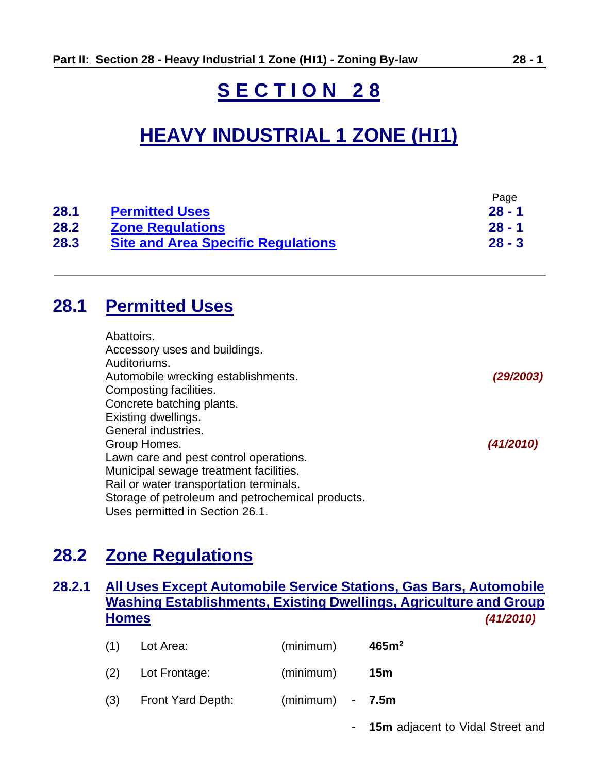# **S E C T I O N 2 8**

# **HEAVY INDUSTRIAL 1 ZONE (HI1)**

|      |                                           | Page     |
|------|-------------------------------------------|----------|
| 28.1 | <b>Permitted Uses</b>                     | $28 - 1$ |
| 28.2 | <b>Zone Regulations</b>                   | $28 - 1$ |
| 28.3 | <b>Site and Area Specific Regulations</b> | $28 - 3$ |

## <span id="page-0-0"></span>**28.1 Permitted Uses**

| Abattoirs.                                       |           |
|--------------------------------------------------|-----------|
| Accessory uses and buildings.                    |           |
| Auditoriums.                                     |           |
| Automobile wrecking establishments.              | (29/2003) |
| Composting facilities.                           |           |
| Concrete batching plants.                        |           |
| Existing dwellings.                              |           |
| General industries.                              |           |
| Group Homes.                                     | (41/2010) |
| Lawn care and pest control operations.           |           |
| Municipal sewage treatment facilities.           |           |
| Rail or water transportation terminals.          |           |
| Storage of petroleum and petrochemical products. |           |
| Uses permitted in Section 26.1.                  |           |

## <span id="page-0-1"></span>**28.2 Zone Regulations**

## **28.2.1 All Uses Except Automobile Service Stations, Gas Bars, Automobile Washing Establishments, Existing Dwellings, Agriculture and Group Homes** *(41/2010)*

| (1) | Lot Area:         | (minimum)          | 465m <sup>2</sup> |
|-----|-------------------|--------------------|-------------------|
| (2) | Lot Frontage:     | (minimum)          | 15m               |
| (3) | Front Yard Depth: | $(minimum) - 7.5m$ |                   |

- **15m** adjacent to Vidal Street and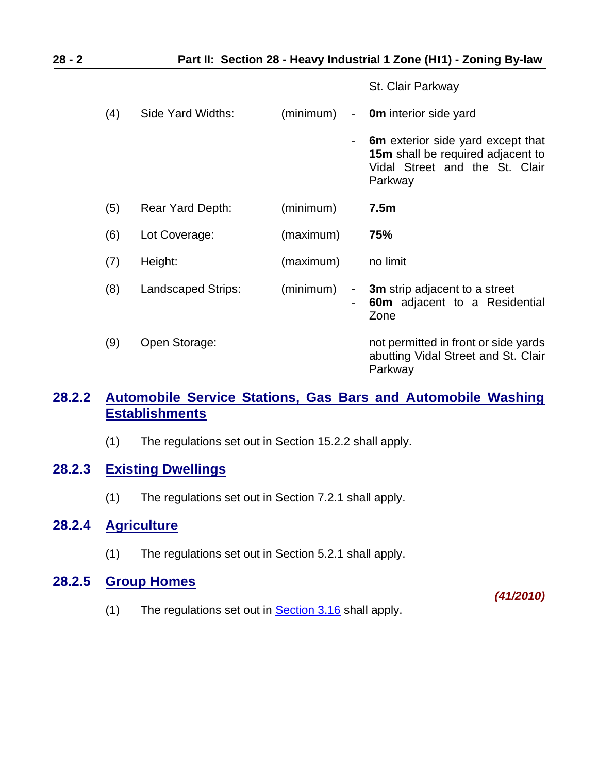St. Clair Parkway

| (4) | Side Yard Widths:  | (minimum) |                          | - <b>0m</b> interior side yard                                                                                      |
|-----|--------------------|-----------|--------------------------|---------------------------------------------------------------------------------------------------------------------|
|     |                    |           |                          | 6m exterior side yard except that<br>15m shall be required adjacent to<br>Vidal Street and the St. Clair<br>Parkway |
| (5) | Rear Yard Depth:   | (minimum) |                          | 7.5m                                                                                                                |
| (6) | Lot Coverage:      | (maximum) |                          | 75%                                                                                                                 |
| (7) | Height:            | (maximum) |                          | no limit                                                                                                            |
| (8) | Landscaped Strips: | (minimum) | $\overline{\phantom{a}}$ | 3m strip adjacent to a street<br><b>60m</b> adjacent to a Residential<br>Zone                                       |
| (9) | Open Storage:      |           |                          | not permitted in front or side yards<br>abutting Vidal Street and St. Clair<br>Parkway                              |

### **28.2.2 Automobile Service Stations, Gas Bars and Automobile Washing Establishments**

(1) The regulations set out in Section 15.2.2 shall apply.

## **28.2.3 Existing Dwellings**

(1) The regulations set out in Section 7.2.1 shall apply.

#### **28.2.4 Agriculture**

(1) The regulations set out in Section 5.2.1 shall apply.

### **28.2.5 Group Homes**

(1) The regulations set out in **Section 3.16** shall apply.

*(41/2010)*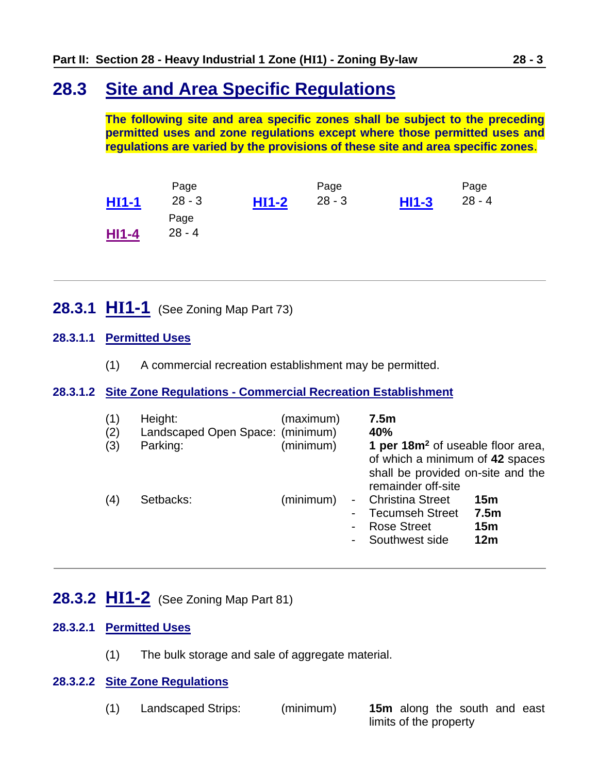## <span id="page-2-0"></span>**28.3 Site and Area Specific Regulations**

**The following site and area specific zones shall be subject to the preceding permitted uses and zone regulations except where those permitted uses and regulations are varied by the provisions of these site and area specific zones**.

|              | Page     |         | Page     |         | Page     |
|--------------|----------|---------|----------|---------|----------|
| <b>HI1-1</b> | $28 - 3$ | $HI1-2$ | $28 - 3$ | $H11-3$ | $28 - 4$ |
|              | Page     |         |          |         |          |
| <b>HI1-4</b> | $28 - 4$ |         |          |         |          |

<span id="page-2-1"></span>**28.3.1 HI1-1** (See Zoning Map Part 73)

#### **28.3.1.1 Permitted Uses**

(1) A commercial recreation establishment may be permitted.

#### **28.3.1.2 Site Zone Regulations - Commercial Recreation Establishment**

| (1)<br>(2)<br>(3) | Height:<br>Landscaped Open Space: (minimum)<br>Parking: | (maximum)<br>(minimum) | 7.5 <sub>m</sub><br>40%<br>1 per 18m <sup>2</sup> of useable floor area,<br>of which a minimum of 42 spaces<br>shall be provided on-site and the<br>remainder off-site |                                                               |
|-------------------|---------------------------------------------------------|------------------------|------------------------------------------------------------------------------------------------------------------------------------------------------------------------|---------------------------------------------------------------|
| (4)               | Setbacks:                                               | (minimum)              | <b>Christina Street</b><br><b>Tecumseh Street</b><br><b>Rose Street</b><br>Southwest side                                                                              | 15 <sub>m</sub><br>7.5 <sub>m</sub><br>15 <sub>m</sub><br>12m |

## <span id="page-2-2"></span>**28.3.2 HI1-2** (See Zoning Map Part 81)

#### **28.3.2.1 Permitted Uses**

(1) The bulk storage and sale of aggregate material.

#### **28.3.2.2 Site Zone Regulations**

| (1) | Landscaped Strips: | (minimum) | <b>15m</b> along the south and east |
|-----|--------------------|-----------|-------------------------------------|
|     |                    |           | limits of the property              |